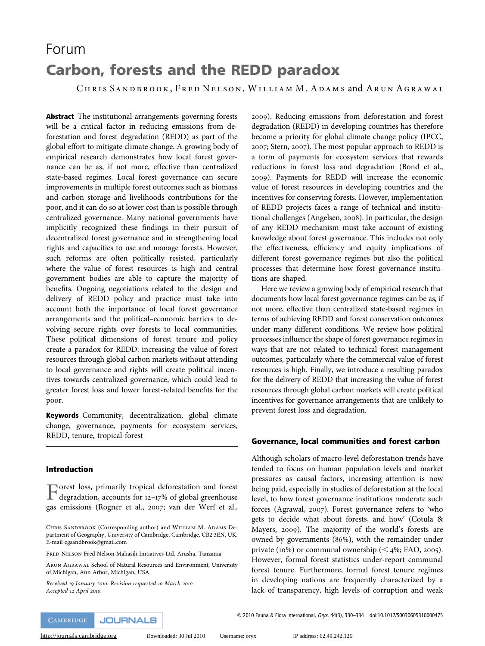# Forum Carbon, forests and the REDD paradox

CHRIS SANDBROOK, FRED NELSON, WILLIAM M. ADAMS and ARUN AGRAWAL

Abstract The institutional arrangements governing forests will be a critical factor in reducing emissions from deforestation and forest degradation (REDD) as part of the global effort to mitigate climate change. A growing body of empirical research demonstrates how local forest governance can be as, if not more, effective than centralized state-based regimes. Local forest governance can secure improvements in multiple forest outcomes such as biomass and carbon storage and livelihoods contributions for the poor, and it can do so at lower cost than is possible through centralized governance. Many national governments have implicitly recognized these findings in their pursuit of decentralized forest governance and in strengthening local rights and capacities to use and manage forests. However, such reforms are often politically resisted, particularly where the value of forest resources is high and central government bodies are able to capture the majority of benefits. Ongoing negotiations related to the design and delivery of REDD policy and practice must take into account both the importance of local forest governance arrangements and the political–economic barriers to devolving secure rights over forests to local communities. These political dimensions of forest tenure and policy create a paradox for REDD: increasing the value of forest resources through global carbon markets without attending to local governance and rights will create political incentives towards centralized governance, which could lead to greater forest loss and lower forest-related benefits for the poor.

Keywords Community, decentralization, global climate change, governance, payments for ecosystem services, REDD, tenure, tropical forest

### Introduction

Forest loss, primarily tropical deforestation and forest<br>degradation, accounts for  $12-17\%$  of global greenhouse gas emissions (Rogner et al., 2007; van der Werf et al.,

CHRIS SANDBROOK (Corresponding author) and WILLIAM M. ADAMS Department of Geography, University of Cambridge, Cambridge, CB2 3EN, UK. E-mail cgsandbrook@gmail.com

FRED NELSON Fred Nelson Maliasili Initiatives Ltd, Arusha, Tanzania

ARUN AGRAWAL School of Natural Resources and Environment, University of Michigan, Ann Arbor, Michigan, USA

Received 19 January 2010. Revision requested 10 March 2010. Accepted 12 April 2010.

2009). Reducing emissions from deforestation and forest degradation (REDD) in developing countries has therefore become a priority for global climate change policy (IPCC, 2007; Stern, 2007). The most popular approach to REDD is a form of payments for ecosystem services that rewards reductions in forest loss and degradation (Bond et al., 2009). Payments for REDD will increase the economic value of forest resources in developing countries and the incentives for conserving forests. However, implementation of REDD projects faces a range of technical and institutional challenges (Angelsen, 2008). In particular, the design of any REDD mechanism must take account of existing knowledge about forest governance. This includes not only the effectiveness, efficiency and equity implications of different forest governance regimes but also the political processes that determine how forest governance institutions are shaped.

Here we review a growing body of empirical research that documents how local forest governance regimes can be as, if not more, effective than centralized state-based regimes in terms of achieving REDD and forest conservation outcomes under many different conditions. We review how political processes influence the shape of forest governance regimes in ways that are not related to technical forest management outcomes, particularly where the commercial value of forest resources is high. Finally, we introduce a resulting paradox for the delivery of REDD that increasing the value of forest resources through global carbon markets will create political incentives for governance arrangements that are unlikely to prevent forest loss and degradation.

### Governance, local communities and forest carbon

Although scholars of macro-level deforestation trends have tended to focus on human population levels and market pressures as causal factors, increasing attention is now being paid, especially in studies of deforestation at the local level, to how forest governance institutions moderate such forces (Agrawal, 2007). Forest governance refers to 'who gets to decide what about forests, and how' (Cotula & Mayers, 2009). The majority of the world's forests are owned by governments (86%), with the remainder under private (10%) or communal ownership ( $\leq$  4%; FAO, 2005). However, formal forest statistics under-report communal forest tenure. Furthermore, formal forest tenure regimes in developing nations are frequently characterized by a lack of transparency, high levels of corruption and weak

© 2010 Fauna & Flora International, Oryx, 44(3), 330-334 doi:10.1017/S0030605310000475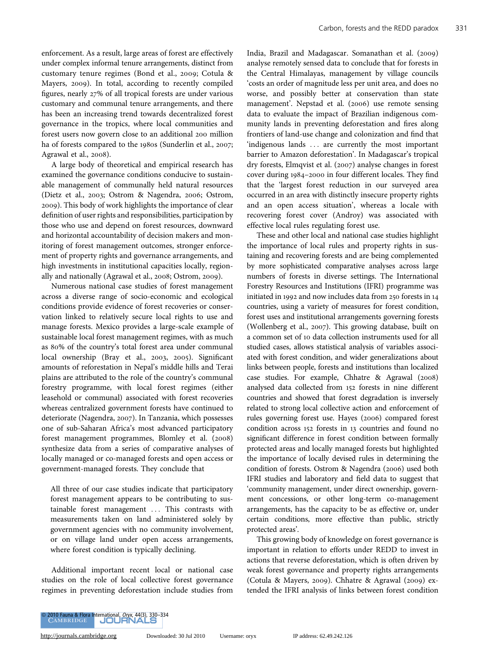enforcement. As a result, large areas of forest are effectively under complex informal tenure arrangements, distinct from customary tenure regimes (Bond et al., 2009; Cotula & Mayers, 2009). In total, according to recently compiled figures, nearly 27% of all tropical forests are under various customary and communal tenure arrangements, and there has been an increasing trend towards decentralized forest governance in the tropics, where local communities and forest users now govern close to an additional 200 million ha of forests compared to the 1980s (Sunderlin et al., 2007; Agrawal et al., 2008).

A large body of theoretical and empirical research has examined the governance conditions conducive to sustainable management of communally held natural resources (Dietz et al., 2003; Ostrom & Nagendra, 2006; Ostrom, 2009). This body of work highlights the importance of clear definition of user rights and responsibilities, participation by those who use and depend on forest resources, downward and horizontal accountability of decision makers and monitoring of forest management outcomes, stronger enforcement of property rights and governance arrangements, and high investments in institutional capacities locally, regionally and nationally (Agrawal et al., 2008; Ostrom, 2009).

Numerous national case studies of forest management across a diverse range of socio-economic and ecological conditions provide evidence of forest recoveries or conservation linked to relatively secure local rights to use and manage forests. Mexico provides a large-scale example of sustainable local forest management regimes, with as much as 80% of the country's total forest area under communal local ownership (Bray et al., 2003, 2005). Significant amounts of reforestation in Nepal's middle hills and Terai plains are attributed to the role of the country's communal forestry programme, with local forest regimes (either leasehold or communal) associated with forest recoveries whereas centralized government forests have continued to deteriorate (Nagendra, 2007). In Tanzania, which possesses one of sub-Saharan Africa's most advanced participatory forest management programmes, Blomley et al. (2008) synthesize data from a series of comparative analyses of locally managed or co-managed forests and open access or government-managed forests. They conclude that

All three of our case studies indicate that participatory forest management appears to be contributing to sustainable forest management ... This contrasts with measurements taken on land administered solely by government agencies with no community involvement, or on village land under open access arrangements, where forest condition is typically declining.

Additional important recent local or national case studies on the role of local collective forest governance regimes in preventing deforestation include studies from

India, Brazil and Madagascar. Somanathan et al. (2009) analyse remotely sensed data to conclude that for forests in the Central Himalayas, management by village councils 'costs an order of magnitude less per unit area, and does no worse, and possibly better at conservation than state management'. Nepstad et al. (2006) use remote sensing data to evaluate the impact of Brazilian indigenous community lands in preventing deforestation and fires along frontiers of land-use change and colonization and find that 'indigenous lands ... are currently the most important barrier to Amazon deforestation'. In Madagascar's tropical dry forests, Elmqvist et al. (2007) analyse changes in forest cover during 1984–2000 in four different locales. They find that the 'largest forest reduction in our surveyed area occurred in an area with distinctly insecure property rights and an open access situation', whereas a locale with recovering forest cover (Androy) was associated with effective local rules regulating forest use.

These and other local and national case studies highlight the importance of local rules and property rights in sustaining and recovering forests and are being complemented by more sophisticated comparative analyses across large numbers of forests in diverse settings. The International Forestry Resources and Institutions (IFRI) programme was initiated in 1992 and now includes data from 250 forests in 14 countries, using a variety of measures for forest condition, forest uses and institutional arrangements governing forests (Wollenberg et al., 2007). This growing database, built on a common set of 10 data collection instruments used for all studied cases, allows statistical analysis of variables associated with forest condition, and wider generalizations about links between people, forests and institutions than localized case studies. For example, Chhatre & Agrawal (2008) analysed data collected from 152 forests in nine different countries and showed that forest degradation is inversely related to strong local collective action and enforcement of rules governing forest use. Hayes (2006) compared forest condition across 152 forests in 13 countries and found no significant difference in forest condition between formally protected areas and locally managed forests but highlighted the importance of locally devised rules in determining the condition of forests. Ostrom & Nagendra (2006) used both IFRI studies and laboratory and field data to suggest that 'community management, under direct ownership, government concessions, or other long-term co-management arrangements, has the capacity to be as effective or, under certain conditions, more effective than public, strictly protected areas'.

This growing body of knowledge on forest governance is important in relation to efforts under REDD to invest in actions that reverse deforestation, which is often driven by weak forest governance and property rights arrangements (Cotula & Mayers, 2009). Chhatre & Agrawal (2009) extended the IFRI analysis of links between forest condition

[http://journals.cambridge.org](http://www.journals.cambridge.org) Downloaded: 30 Jul 2010 Username: oryx IP address: 62.49.242.126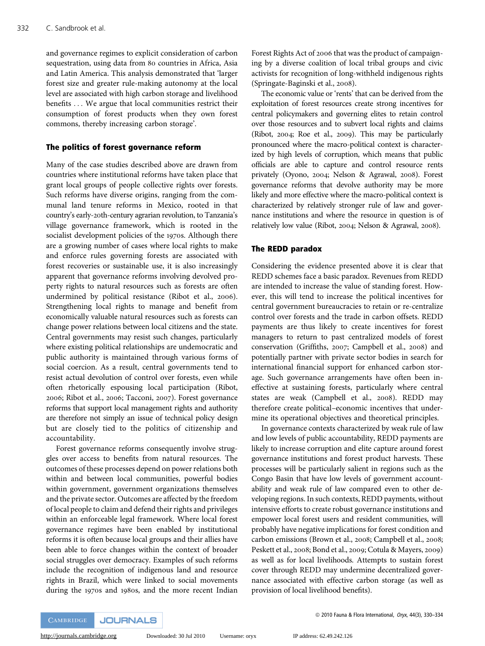and governance regimes to explicit consideration of carbon sequestration, using data from 80 countries in Africa, Asia and Latin America. This analysis demonstrated that 'larger forest size and greater rule-making autonomy at the local level are associated with high carbon storage and livelihood benefits ... We argue that local communities restrict their consumption of forest products when they own forest commons, thereby increasing carbon storage'.

### The politics of forest governance reform

Many of the case studies described above are drawn from countries where institutional reforms have taken place that grant local groups of people collective rights over forests. Such reforms have diverse origins, ranging from the communal land tenure reforms in Mexico, rooted in that country's early-20th-century agrarian revolution, to Tanzania's village governance framework, which is rooted in the socialist development policies of the 1970s. Although there are a growing number of cases where local rights to make and enforce rules governing forests are associated with forest recoveries or sustainable use, it is also increasingly apparent that governance reforms involving devolved property rights to natural resources such as forests are often undermined by political resistance (Ribot et al., 2006). Strengthening local rights to manage and benefit from economically valuable natural resources such as forests can change power relations between local citizens and the state. Central governments may resist such changes, particularly where existing political relationships are undemocratic and public authority is maintained through various forms of social coercion. As a result, central governments tend to resist actual devolution of control over forests, even while often rhetorically espousing local participation (Ribot, 2006; Ribot et al., 2006; Tacconi, 2007). Forest governance reforms that support local management rights and authority are therefore not simply an issue of technical policy design but are closely tied to the politics of citizenship and accountability.

Forest governance reforms consequently involve struggles over access to benefits from natural resources. The outcomes of these processes depend on power relations both within and between local communities, powerful bodies within government, government organizations themselves and the private sector. Outcomes are affected by the freedom of local people to claim and defend their rights and privileges within an enforceable legal framework. Where local forest governance regimes have been enabled by institutional reforms it is often because local groups and their allies have been able to force changes within the context of broader social struggles over democracy. Examples of such reforms include the recognition of indigenous land and resource rights in Brazil, which were linked to social movements during the 1970s and 1980s, and the more recent Indian Forest Rights Act of 2006 that was the product of campaigning by a diverse coalition of local tribal groups and civic activists for recognition of long-withheld indigenous rights (Springate-Baginski et al., 2008).

The economic value or 'rents' that can be derived from the exploitation of forest resources create strong incentives for central policymakers and governing elites to retain control over those resources and to subvert local rights and claims (Ribot, 2004; Roe et al., 2009). This may be particularly pronounced where the macro-political context is characterized by high levels of corruption, which means that public officials are able to capture and control resource rents privately (Oyono, 2004; Nelson & Agrawal, 2008). Forest governance reforms that devolve authority may be more likely and more effective where the macro-political context is characterized by relatively stronger rule of law and governance institutions and where the resource in question is of relatively low value (Ribot, 2004; Nelson & Agrawal, 2008).

### The REDD paradox

Considering the evidence presented above it is clear that REDD schemes face a basic paradox. Revenues from REDD are intended to increase the value of standing forest. However, this will tend to increase the political incentives for central government bureaucracies to retain or re-centralize control over forests and the trade in carbon offsets. REDD payments are thus likely to create incentives for forest managers to return to past centralized models of forest conservation (Griffiths, 2007; Campbell et al., 2008) and potentially partner with private sector bodies in search for international financial support for enhanced carbon storage. Such governance arrangements have often been ineffective at sustaining forests, particularly where central states are weak (Campbell et al., 2008). REDD may therefore create political–economic incentives that undermine its operational objectives and theoretical principles.

In governance contexts characterized by weak rule of law and low levels of public accountability, REDD payments are likely to increase corruption and elite capture around forest governance institutions and forest product harvests. These processes will be particularly salient in regions such as the Congo Basin that have low levels of government accountability and weak rule of law compared even to other developing regions. In such contexts, REDD payments, without intensive efforts to create robust governance institutions and empower local forest users and resident communities, will probably have negative implications for forest condition and carbon emissions (Brown et al., 2008; Campbell et al., 2008; Peskett et al., 2008; Bond et al., 2009; Cotula & Mayers, 2009) as well as for local livelihoods. Attempts to sustain forest cover through REDD may undermine decentralized governance associated with effective carbon storage (as well as provision of local livelihood benefits).

© 2010 Fauna & Flora International, Oryx, 44(3), 330-334

**CAMBRIDGE JOURNALS**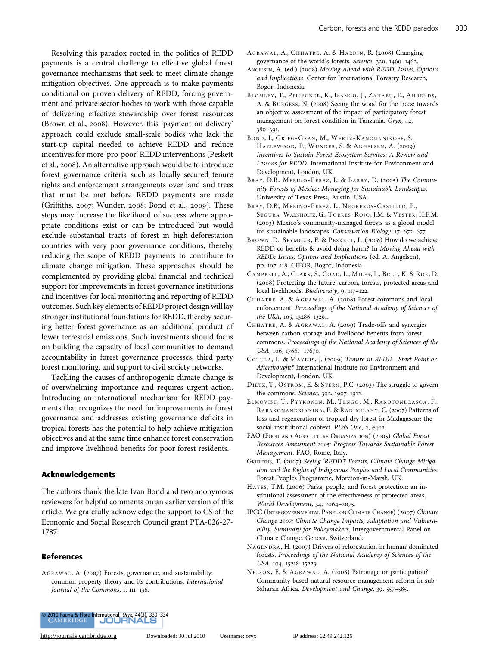Resolving this paradox rooted in the politics of REDD payments is a central challenge to effective global forest governance mechanisms that seek to meet climate change mitigation objectives. One approach is to make payments conditional on proven delivery of REDD, forcing government and private sector bodies to work with those capable of delivering effective stewardship over forest resources (Brown et al., 2008). However, this 'payment on delivery' approach could exclude small-scale bodies who lack the start-up capital needed to achieve REDD and reduce incentives for more 'pro-poor' REDD interventions (Peskett et al., 2008). An alternative approach would be to introduce forest governance criteria such as locally secured tenure rights and enforcement arrangements over land and trees that must be met before REDD payments are made (Griffiths, 2007; Wunder, 2008; Bond et al., 2009). These steps may increase the likelihood of success where appropriate conditions exist or can be introduced but would exclude substantial tracts of forest in high-deforestation countries with very poor governance conditions, thereby reducing the scope of REDD payments to contribute to climate change mitigation. These approaches should be complemented by providing global financial and technical support for improvements in forest governance institutions and incentives for local monitoring and reporting of REDD outcomes. Such key elements of REDD project design will lay stronger institutional foundations for REDD, thereby securing better forest governance as an additional product of lower terrestrial emissions. Such investments should focus on building the capacity of local communities to demand accountability in forest governance processes, third party forest monitoring, and support to civil society networks.

Tackling the causes of anthropogenic climate change is of overwhelming importance and requires urgent action. Introducing an international mechanism for REDD payments that recognizes the need for improvements in forest governance and addresses existing governance deficits in tropical forests has the potential to help achieve mitigation objectives and at the same time enhance forest conservation and improve livelihood benefits for poor forest residents.

### Acknowledgements

The authors thank the late Ivan Bond and two anonymous reviewers for helpful comments on an earlier version of this article. We gratefully acknowledge the support to CS of the Economic and Social Research Council grant PTA-026-27- 1787.

#### References

A GRAWAL, A. (2007) Forests, governance, and sustainability: common property theory and its contributions. International Journal of the Commons, 1, 111–136.

- AGRAWAL, A., CHHATRE, A. & HARDIN, R. (2008) Changing governance of the world's forests. Science, 320, 1460–1462.
- ANGELSEN, A. (ed.) (2008) Moving Ahead with REDD: Issues, Options and Implications. Center for International Forestry Research, Bogor, Indonesia.
- BLOMLEY, T., PFLIEGNER, K., ISANGO, J., ZAHABU, E., AHRENDS, A. & BURGESS, N. (2008) Seeing the wood for the trees: towards an objective assessment of the impact of participatory forest management on forest condition in Tanzania. Oryx, 42, 380–391.
- BOND, I., GRIEG-GRAN, M., WERTZ-KANOUNNIKOFF, S., HAZLEWOOD, P., WUNDER, S. & ANGELSEN, A. (2009) Incentives to Sustain Forest Ecosystem Services: A Review and Lessons for REDD. International Institute for Environment and Development, London, UK.
- BRAY, D.B., MERINO-PEREZ, L. & BARRY, D. (2005) The Community Forests of Mexico: Managing for Sustainable Landscapes. University of Texas Press, Austin, USA.
- BRAY, D.B., MERINO-PEREZ, L., NEGREROS-CASTILLO, P., S EGURA-WARNHOLTZ, G., T ORRES -R OJO, J.M. & VESTER, H.F.M. (2003) Mexico's community-managed forests as a global model for sustainable landscapes. Conservation Biology, 17, 672–677.
- BROWN, D., SEYMOUR, F. & PESKETT, L. (2008) How do we achieve REDD co-benefits & avoid doing harm? In Moving Ahead with REDD: Issues, Options and Implications (ed. A. Angelsen), pp. 107–118. CIFOR, Bogor, Indonesia.
- CAMPBELL, A., CLARK, S., COAD, L., MILES, L., BOLT, K. & ROE, D. (2008) Protecting the future: carbon, forests, protected areas and local livelihoods. Biodiversity, 9, 117–122.
- CHHATRE, A. & AGRAWAL, A. (2008) Forest commons and local enforcement. Proceedings of the National Academy of Sciences of the USA, 105, 13286–13291.
- CHHATRE, A. & AGRAWAL, A. (2009) Trade-offs and synergies between carbon storage and livelihood benefits from forest commons. Proceedings of the National Academy of Sciences of the USA, 106, 17667–17670.
- C OTULA, L. & MAYERS , J. (2009) Tenure in REDD—Start-Point or Afterthought? International Institute for Environment and Development, London, UK.
- DIETZ, T., OSTROM, E. & STERN, P.C. (2003) The struggle to govern the commons. Science, 302, 1907–1912.
- ELMQVIST, T., PYYKONEN, M., TENGO, M., RAKOTONDRASOA, F., RABAKONANDRIANINA, E. & RADIMILAHY, C. (2007) Patterns of loss and regeneration of tropical dry forest in Madagascar: the social institutional context. PLoS One, 2, e402.
- FAO (FOOD AND AGRICULTURE ORGANIZATION) (2005) Global Forest Resources Assessment 2005: Progress Towards Sustainable Forest Management. FAO, Rome, Italy.
- GRIFFITHS, T. (2007) Seeing 'REDD'? Forests, Climate Change Mitigation and the Rights of Indigenous Peoples and Local Communities. Forest Peoples Programme, Moreton-in-Marsh, UK.
- HAYES, T.M. (2006) Parks, people, and forest protection: an institutional assessment of the effectiveness of protected areas. World Development, 34, 2064–2075.
- IPCC (INTERGOVERNMENTAL PANEL ON CLIMATE CHANGE) (2007) Climate Change 2007: Climate Change Impacts, Adaptation and Vulnerability. Summary for Policymakers. Intergovernmental Panel on Climate Change, Geneva, Switzerland.
- NAGENDRA, H. (2007) Drivers of reforestation in human-dominated forests. Proceedings of the National Academy of Sciences of the USA, 104, 15218–15223.
- NELSON, F. & AGRAWAL, A. (2008) Patronage or participation? Community-based natural resource management reform in sub-Saharan Africa. Development and Change, 39, 557–585.

ª 2010 Fauna & Flora International, Oryx, 44(3), 330–334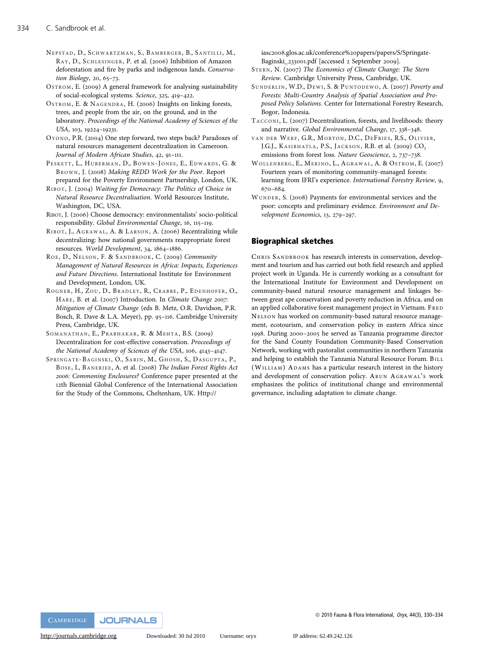NEPSTAD, D., SCHWARTZMAN, S., BAMBERGER, B., SANTILLI, M., RA Y, D., SCHLESINGER, P. et al. (2006) Inhibition of Amazon deforestation and fire by parks and indigenous lands. Conservation Biology, 20, 65–73.

OSTROM, E. (2009) A general framework for analysing sustainability of social-ecological systems. Science, 325, 419–422.

OSTROM, E. & NAGENDRA, H. (2006) Insights on linking forests, trees, and people from the air, on the ground, and in the laboratory. Proceedings of the National Academy of Sciences of the USA, 103, 19224–19231.

OYONO , P.R. (2004) One step forward, two steps back? Paradoxes of natural resources management decentralization in Cameroon. Journal of Modern African Studies, 42, 91–111.

PESKETT, L., HUBERMAN, D., BOWEN-JONES, E., EDWARDS, G. & BROWN, J. (2008) Making REDD Work for the Poor. Report prepared for the Poverty Environment Partnership, London, UK.

RIBOT, J. (2004) Waiting for Democracy: The Politics of Choice in Natural Resource Decentralisation. World Resources Institute, Washington, DC, USA.

RIBOT, J. (2006) Choose democracy: environmentalists' socio-political responsibility. Global Environmental Change, 16, 115–119.

RIBOT, J., AGRAWAL, A. & LARSON, A. (2006) Recentralizing while decentralizing: how national governments reappropriate forest resources. World Development, 34, 1864–1886.

ROE, D., NELSON, F. & SANDBROOK, C. (2009) Community Management of Natural Resources in Africa: Impacts, Experiences and Future Directions. International Institute for Environment and Development, London, UK.

ROGNER, H., ZOU, D., BRADLEY, R., CRABBE, P., EDENHOFER, O., HARE, B. et al. (2007) Introduction. In Climate Change 2007: Mitigation of Climate Change (eds B. Metz, O.R. Davidson, P.R. Bosch, R. Dave & L.A. Meyer), pp. 95–116. Cambridge University Press, Cambridge, UK.

SOMANATHAN, E., PRABHAKAR, R. & MEHTA, B.S. (2009) Decentralization for cost-effective conservation. Proceedings of the National Academy of Sciences of the USA, 106, 4143–4147.

SPRINGATE-BAGINSKI, O., SARIN, M., GHOSH, S., DASGUPTA, P., B OSE , I., BANERJEE , A. et al. (2008) The Indian Forest Rights Act 2006: Commoning Enclosures? Conference paper presented at the 12th Biennial Global Conference of the International Association for the Study of the Commons, Cheltenham, UK. Http://

iasc2008.glos.ac.uk/conference%20papers/papers/S/Springate-Baginski\_233001.pdf [accessed 2 September 2009].

STERN, N. (2007) The Economics of Climate Change: The Stern Review. Cambridge University Press, Cambridge, UK.

SUNDERLIN, W.D., DEWI, S. & PUNTODEWO, A. (2007) Poverty and Forests: Multi-Country Analysis of Spatial Association and Proposed Policy Solutions. Center for International Forestry Research, Bogor, Indonesia.

TACCONI, L. (2007) Decentralization, forests, and livelihoods: theory and narrative. Global Environmental Change, 17, 338–348.

VAN DER WERF, G.R., MORTON, D.C., DEFRIES, R.S., OLIVIER, J.G.J., KASIBHATLA, P.S., JACKSON, R.B. et al. (2009)  $CO<sub>2</sub>$ emissions from forest loss. Nature Geoscience, 2, 737-738.

WOLLENBERG, E., MERINO, L., AGRAWAL, A. & OSTROM, E. (2007) Fourteen years of monitoring community-managed forests: learning from IFRI's experience. International Forestry Review, 9, 670–684.

WUNDER, S. (2008) Payments for environmental services and the poor: concepts and preliminary evidence. Environment and Development Economics, 13, 279–297.

### Biographical sketches

CHRIS SANDBROOK has research interests in conservation, development and tourism and has carried out both field research and applied project work in Uganda. He is currently working as a consultant for the International Institute for Environment and Development on community-based natural resource management and linkages between great ape conservation and poverty reduction in Africa, and on an applied collaborative forest management project in Vietnam. FRED NELSON has worked on community-based natural resource management, ecotourism, and conservation policy in eastern Africa since 1998. During 2000–2005 he served as Tanzania programme director for the Sand County Foundation Community-Based Conservation Network, working with pastoralist communities in northern Tanzania and helping to establish the Tanzania Natural Resource Forum. BILL (WILLIAM) A DAMS has a particular research interest in the history and development of conservation policy. ARUN AGRAWAL's work emphasizes the politics of institutional change and environmental governance, including adaptation to climate change.

**CAMBRIDGE JOURNALS** 

[http://journals.cambridge.org](http://www.journals.cambridge.org) Downloaded: 30 Jul 2010 Username: oryx IP address: 62.49.242.126

© 2010 Fauna & Flora International, Oryx, 44(3), 330-334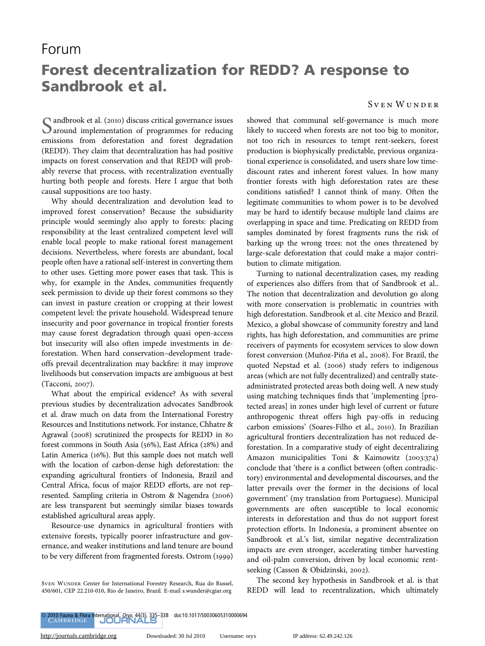### Forum

## Forest decentralization for REDD? A response to Sandbrook et al.

### S ven Wunder

Sandbrook et al. (2010) discuss critical governance issues<br>
around implementation of programmes for reducing emissions from deforestation and forest degradation (REDD). They claim that decentralization has had positive impacts on forest conservation and that REDD will probably reverse that process, with recentralization eventually hurting both people and forests. Here I argue that both causal suppositions are too hasty.

Why should decentralization and devolution lead to improved forest conservation? Because the subsidiarity principle would seemingly also apply to forests: placing responsibility at the least centralized competent level will enable local people to make rational forest management decisions. Nevertheless, where forests are abundant, local people often have a rational self-interest in converting them to other uses. Getting more power eases that task. This is why, for example in the Andes, communities frequently seek permission to divide up their forest commons so they can invest in pasture creation or cropping at their lowest competent level: the private household. Widespread tenure insecurity and poor governance in tropical frontier forests may cause forest degradation through quasi open-access but insecurity will also often impede investments in deforestation. When hard conservation–development tradeoffs prevail decentralization may backfire: it may improve livelihoods but conservation impacts are ambiguous at best (Tacconi, 2007).

What about the empirical evidence? As with several previous studies by decentralization advocates Sandbrook et al. draw much on data from the International Forestry Resources and Institutions network. For instance, Chhatre & Agrawal (2008) scrutinized the prospects for REDD in 80 forest commons in South Asia (56%), East Africa (28%) and Latin America (16%). But this sample does not match well with the location of carbon-dense high deforestation: the expanding agricultural frontiers of Indonesia, Brazil and Central Africa, focus of major REDD efforts, are not represented. Sampling criteria in Ostrom & Nagendra (2006) are less transparent but seemingly similar biases towards established agricultural areas apply.

Resource-use dynamics in agricultural frontiers with extensive forests, typically poorer infrastructure and governance, and weaker institutions and land tenure are bound to be very different from fragmented forests. Ostrom (1999)

SVEN WUNDER Center for International Forestry Research, Rua do Russel, 450/601, CEP 22.210-010, Rio de Janeiro, Brazil. E-mail s.wunder@cgiar.org

showed that communal self-governance is much more likely to succeed when forests are not too big to monitor, not too rich in resources to tempt rent-seekers, forest production is biophysically predictable, previous organizational experience is consolidated, and users share low timediscount rates and inherent forest values. In how many frontier forests with high deforestation rates are these conditions satisfied? I cannot think of many. Often the legitimate communities to whom power is to be devolved may be hard to identify because multiple land claims are overlapping in space and time. Predicating on REDD from samples dominated by forest fragments runs the risk of barking up the wrong trees: not the ones threatened by large-scale deforestation that could make a major contribution to climate mitigation.

Turning to national decentralization cases, my reading of experiences also differs from that of Sandbrook et al.. The notion that decentralization and devolution go along with more conservation is problematic in countries with high deforestation. Sandbrook et al. cite Mexico and Brazil. Mexico, a global showcase of community forestry and land rights, has high deforestation, and communities are prime receivers of payments for ecosystem services to slow down forest conversion (Muñoz-Piña et al., 2008). For Brazil, the quoted Nepstad et al. (2006) study refers to indigenous areas (which are not fully decentralized) and centrally stateadministrated protected areas both doing well. A new study using matching techniques finds that 'implementing [protected areas] in zones under high level of current or future anthropogenic threat offers high pay-offs in reducing carbon emissions' (Soares-Filho et al., 2010). In Brazilian agricultural frontiers decentralization has not reduced deforestation. In a comparative study of eight decentralizing Amazon municipalities Toni & Kaimowitz (2003:374) conclude that 'there is a conflict between (often contradictory) environmental and developmental discourses, and the latter prevails over the former in the decisions of local government' (my translation from Portuguese). Municipal governments are often susceptible to local economic interests in deforestation and thus do not support forest protection efforts. In Indonesia, a prominent absentee on Sandbrook et al.'s list, similar negative decentralization impacts are even stronger, accelerating timber harvesting and oil-palm conversion, driven by local economic rentseeking (Casson & Obidzinski, 2002).

The second key hypothesis in Sandbrook et al. is that REDD will lead to recentralization, which ultimately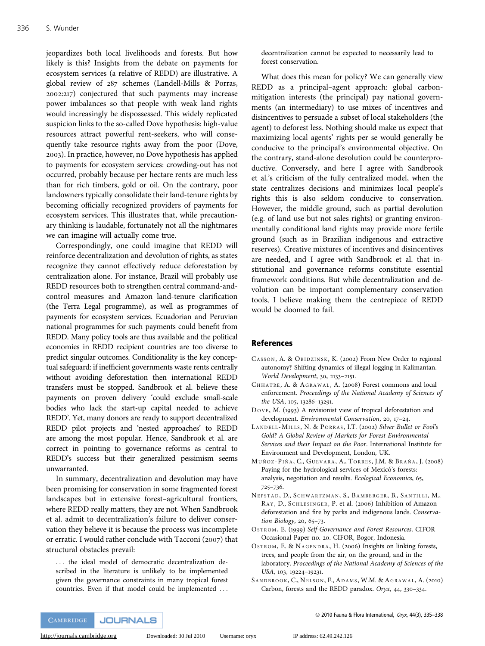jeopardizes both local livelihoods and forests. But how likely is this? Insights from the debate on payments for ecosystem services (a relative of REDD) are illustrative. A global review of 287 schemes (Landell-Mills & Porras, 2002:217) conjectured that such payments may increase power imbalances so that people with weak land rights would increasingly be dispossessed. This widely replicated suspicion links to the so-called Dove hypothesis: high-value resources attract powerful rent-seekers, who will consequently take resource rights away from the poor (Dove, 2003). In practice, however, no Dove hypothesis has applied to payments for ecosystem services: crowding-out has not occurred, probably because per hectare rents are much less than for rich timbers, gold or oil. On the contrary, poor landowners typically consolidate their land-tenure rights by becoming officially recognized providers of payments for ecosystem services. This illustrates that, while precautionary thinking is laudable, fortunately not all the nightmares we can imagine will actually come true.

Correspondingly, one could imagine that REDD will reinforce decentralization and devolution of rights, as states recognize they cannot effectively reduce deforestation by centralization alone. For instance, Brazil will probably use REDD resources both to strengthen central command-andcontrol measures and Amazon land-tenure clarification (the Terra Legal programme), as well as programmes of payments for ecosystem services. Ecuadorian and Peruvian national programmes for such payments could benefit from REDD. Many policy tools are thus available and the political economies in REDD recipient countries are too diverse to predict singular outcomes. Conditionality is the key conceptual safeguard: if inefficient governments waste rents centrally without avoiding deforestation then international REDD transfers must be stopped. Sandbrook et al. believe these payments on proven delivery 'could exclude small-scale bodies who lack the start-up capital needed to achieve REDD'. Yet, many donors are ready to support decentralized REDD pilot projects and 'nested approaches' to REDD are among the most popular. Hence, Sandbrook et al. are correct in pointing to governance reforms as central to REDD's success but their generalized pessimism seems unwarranted.

In summary, decentralization and devolution may have been promising for conservation in some fragmented forest landscapes but in extensive forest–agricultural frontiers, where REDD really matters, they are not. When Sandbrook et al. admit to decentralization's failure to deliver conservation they believe it is because the process was incomplete or erratic. I would rather conclude with Tacconi (2007) that structural obstacles prevail:

... the ideal model of democratic decentralization described in the literature is unlikely to be implemented given the governance constraints in many tropical forest countries. Even if that model could be implemented ... decentralization cannot be expected to necessarily lead to forest conservation.

What does this mean for policy? We can generally view REDD as a principal–agent approach: global carbonmitigation interests (the principal) pay national governments (an intermediary) to use mixes of incentives and disincentives to persuade a subset of local stakeholders (the agent) to deforest less. Nothing should make us expect that maximizing local agents' rights per se would generally be conducive to the principal's environmental objective. On the contrary, stand-alone devolution could be counterproductive. Conversely, and here I agree with Sandbrook et al.'s criticism of the fully centralized model, when the state centralizes decisions and minimizes local people's rights this is also seldom conducive to conservation. However, the middle ground, such as partial devolution (e.g. of land use but not sales rights) or granting environmentally conditional land rights may provide more fertile ground (such as in Brazilian indigenous and extractive reserves). Creative mixtures of incentives and disincentives are needed, and I agree with Sandbrook et al. that institutional and governance reforms constitute essential framework conditions. But while decentralization and devolution can be important complementary conservation tools, I believe making them the centrepiece of REDD would be doomed to fail.

### References

- CASSON, A. & OBIDZINSK, K. (2002) From New Order to regional autonomy? Shifting dynamics of illegal logging in Kalimantan. World Development, 30, 2133–2151.
- CHHATRE, A. & AGRAWAL, A. (2008) Forest commons and local enforcement. Proceedings of the National Academy of Sciences of the USA, 105, 13286–13291.
- D OVE , M. (1993) A revisionist view of tropical deforestation and development. Environmental Conservation, 20, 17–24.
- LANDELL-MILLS, N. & PORRAS, I.T. (2002) Silver Bullet or Fool's Gold? A Global Review of Markets for Forest Environmental Services and their Impact on the Poor. International Institute for Environment and Development, London, UK.
- MUÑOZ-PIÑA, C., GUEVARA, A., TORRES, J.M. & BRAÑA, J. (2008) Paying for the hydrological services of Mexicó's forests: analysis, negotiation and results. Ecological Economics, 65, 725–736.
- NEPSTAD, D., SCHWARTZMAN, S., BAMBERGER, B., SANTILLI, M., RA Y, D., SCHLESINGER, P. et al. (2006) Inhibition of Amazon deforestation and fire by parks and indigenous lands. Conservation Biology, 20, 65–73.
- OSTROM, E. (1999) Self-Governance and Forest Resources. CIFOR Occasional Paper no. 20. CIFOR, Bogor, Indonesia.
- OSTROM, E. & NAGENDRA, H. (2006) Insights on linking forests, trees, and people from the air, on the ground, and in the laboratory. Proceedings of the National Academy of Sciences of the USA, 103, 19224–19231.
- SANDBROOK, C., NELSON, F., ADAMS, W.M. & AGRAWAL, A. (2010) Carbon, forests and the REDD paradox. Oryx, 44, 330–334.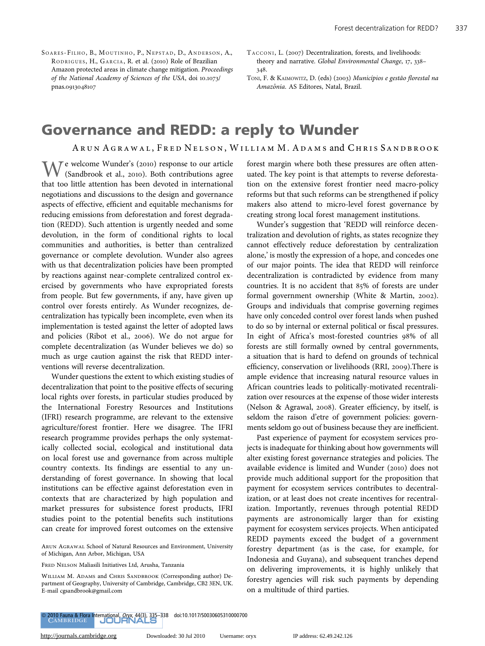SOARES-FILHO, B., MOUTINHO, P., NEPSTAD, D., ANDERSON, A., R ODRIGUES , H., GARCIA, R. et al. (2010) Role of Brazilian Amazon protected areas in climate change mitigation. Proceedings of the National Academy of Sciences of the USA, doi 10.1073/ pnas.0913048107

- TACCONI, L. (2007) Decentralization, forests, and livelihoods: theory and narrative. Global Environmental Change, 17, 338– 348.
- TONI, F. & KAIMOWITZ, D. (eds) (2003) Municípios e gestão florestal na Amazônia. AS Editores, Natal, Brazil.

### Governance and REDD: a reply to Wunder

### Arun Agrawal , F red Nelson, William M. Adams and Chris Sandbrook

 $\mathcal T$ e welcome Wunder's (2010) response to our article (Sandbrook et al., 2010). Both contributions agree that too little attention has been devoted in international negotiations and discussions to the design and governance aspects of effective, efficient and equitable mechanisms for reducing emissions from deforestation and forest degradation (REDD). Such attention is urgently needed and some devolution, in the form of conditional rights to local communities and authorities, is better than centralized governance or complete devolution. Wunder also agrees with us that decentralization policies have been prompted by reactions against near-complete centralized control exercised by governments who have expropriated forests from people. But few governments, if any, have given up control over forests entirely. As Wunder recognizes, decentralization has typically been incomplete, even when its implementation is tested against the letter of adopted laws and policies (Ribot et al., 2006). We do not argue for complete decentralization (as Wunder believes we do) so much as urge caution against the risk that REDD interventions will reverse decentralization.

Wunder questions the extent to which existing studies of decentralization that point to the positive effects of securing local rights over forests, in particular studies produced by the International Forestry Resources and Institutions (IFRI) research programme, are relevant to the extensive agriculture/forest frontier. Here we disagree. The IFRI research programme provides perhaps the only systematically collected social, ecological and institutional data on local forest use and governance from across multiple country contexts. Its findings are essential to any understanding of forest governance. In showing that local institutions can be effective against deforestation even in contexts that are characterized by high population and market pressures for subsistence forest products, IFRI studies point to the potential benefits such institutions can create for improved forest outcomes on the extensive

ARUN AGRAWAL School of Natural Resources and Environment, University of Michigan, Ann Arbor, Michigan, USA

FRED NELSON Maliasili Initiatives Ltd, Arusha, Tanzania

WILLIAM M. ADAMS and CHRIS SANDBROOK (Corresponding author) Department of Geography, University of Cambridge, Cambridge, CB2 3EN, UK. E-mail cgsandbrook@gmail.com

forest margin where both these pressures are often attenuated. The key point is that attempts to reverse deforestation on the extensive forest frontier need macro-policy reforms but that such reforms can be strengthened if policy makers also attend to micro-level forest governance by creating strong local forest management institutions.

Wunder's suggestion that 'REDD will reinforce decentralization and devolution of rights, as states recognize they cannot effectively reduce deforestation by centralization alone,' is mostly the expression of a hope, and concedes one of our major points. The idea that REDD will reinforce decentralization is contradicted by evidence from many countries. It is no accident that 85% of forests are under formal government ownership (White & Martin, 2002). Groups and individuals that comprise governing regimes have only conceded control over forest lands when pushed to do so by internal or external political or fiscal pressures. In eight of Africa's most-forested countries 98% of all forests are still formally owned by central governments, a situation that is hard to defend on grounds of technical efficiency, conservation or livelihoods (RRI, 2009).There is ample evidence that increasing natural resource values in African countries leads to politically-motivated recentralization over resources at the expense of those wider interests (Nelson & Agrawal, 2008). Greater efficiency, by itself, is seldom the raison d'etre of government policies: governments seldom go out of business because they are inefficient.

Past experience of payment for ecosystem services projects is inadequate for thinking about how governments will alter existing forest governance strategies and policies. The available evidence is limited and Wunder (2010) does not provide much additional support for the proposition that payment for ecosystem services contributes to decentralization, or at least does not create incentives for recentralization. Importantly, revenues through potential REDD payments are astronomically larger than for existing payment for ecosystem services projects. When anticipated REDD payments exceed the budget of a government forestry department (as is the case, for example, for Indonesia and Guyana), and subsequent tranches depend on delivering improvements, it is highly unlikely that forestry agencies will risk such payments by depending on a multitude of third parties.

ª 2010 Fauna & Flora International, Oryx, 44(3), 335–338 doi:10.1017/S0030605310000700

[http://journals.cambridge.org](http://www.journals.cambridge.org) Downloaded: 30 Jul 2010 Username: oryx IP address: 62.49.242.126